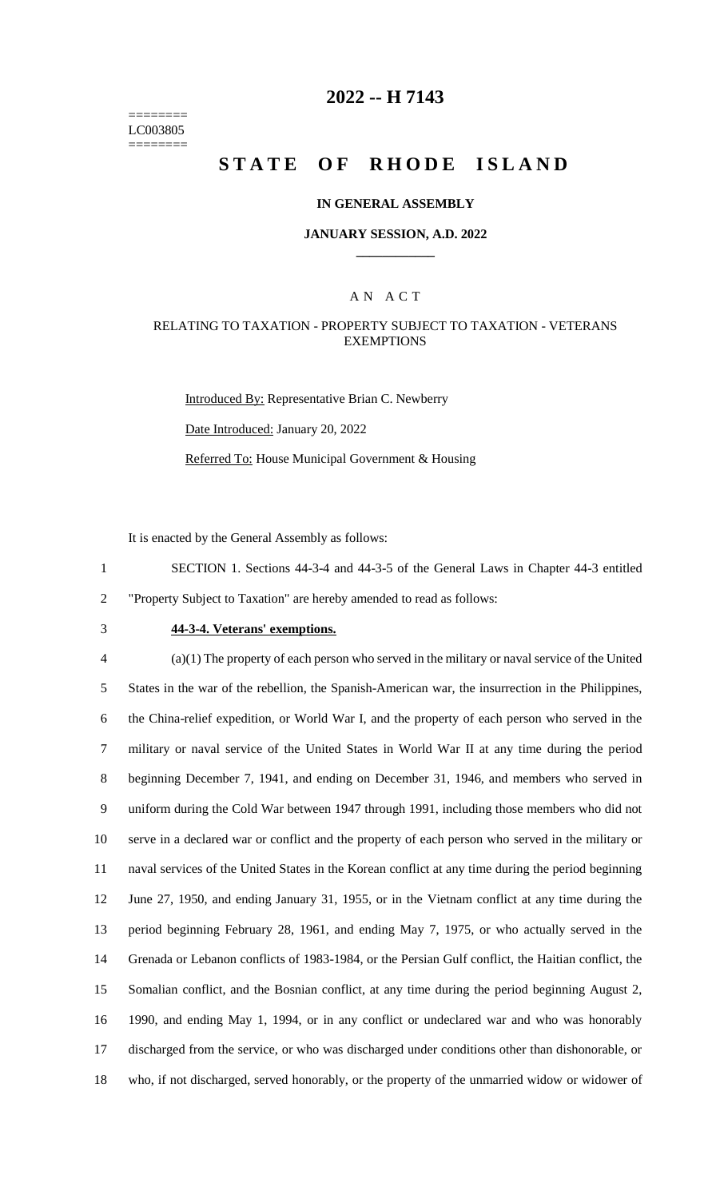======== LC003805 ========

## **2022 -- H 7143**

# **STATE OF RHODE ISLAND**

#### **IN GENERAL ASSEMBLY**

#### **JANUARY SESSION, A.D. 2022 \_\_\_\_\_\_\_\_\_\_\_\_**

#### A N A C T

#### RELATING TO TAXATION - PROPERTY SUBJECT TO TAXATION - VETERANS **EXEMPTIONS**

Introduced By: Representative Brian C. Newberry Date Introduced: January 20, 2022 Referred To: House Municipal Government & Housing

It is enacted by the General Assembly as follows:

1 SECTION 1. Sections 44-3-4 and 44-3-5 of the General Laws in Chapter 44-3 entitled 2 "Property Subject to Taxation" are hereby amended to read as follows:

# 3 **44-3-4. Veterans' exemptions.**

 (a)(1) The property of each person who served in the military or naval service of the United States in the war of the rebellion, the Spanish-American war, the insurrection in the Philippines, the China-relief expedition, or World War I, and the property of each person who served in the military or naval service of the United States in World War II at any time during the period beginning December 7, 1941, and ending on December 31, 1946, and members who served in uniform during the Cold War between 1947 through 1991, including those members who did not serve in a declared war or conflict and the property of each person who served in the military or naval services of the United States in the Korean conflict at any time during the period beginning June 27, 1950, and ending January 31, 1955, or in the Vietnam conflict at any time during the period beginning February 28, 1961, and ending May 7, 1975, or who actually served in the Grenada or Lebanon conflicts of 1983-1984, or the Persian Gulf conflict, the Haitian conflict, the Somalian conflict, and the Bosnian conflict, at any time during the period beginning August 2, 1990, and ending May 1, 1994, or in any conflict or undeclared war and who was honorably discharged from the service, or who was discharged under conditions other than dishonorable, or who, if not discharged, served honorably, or the property of the unmarried widow or widower of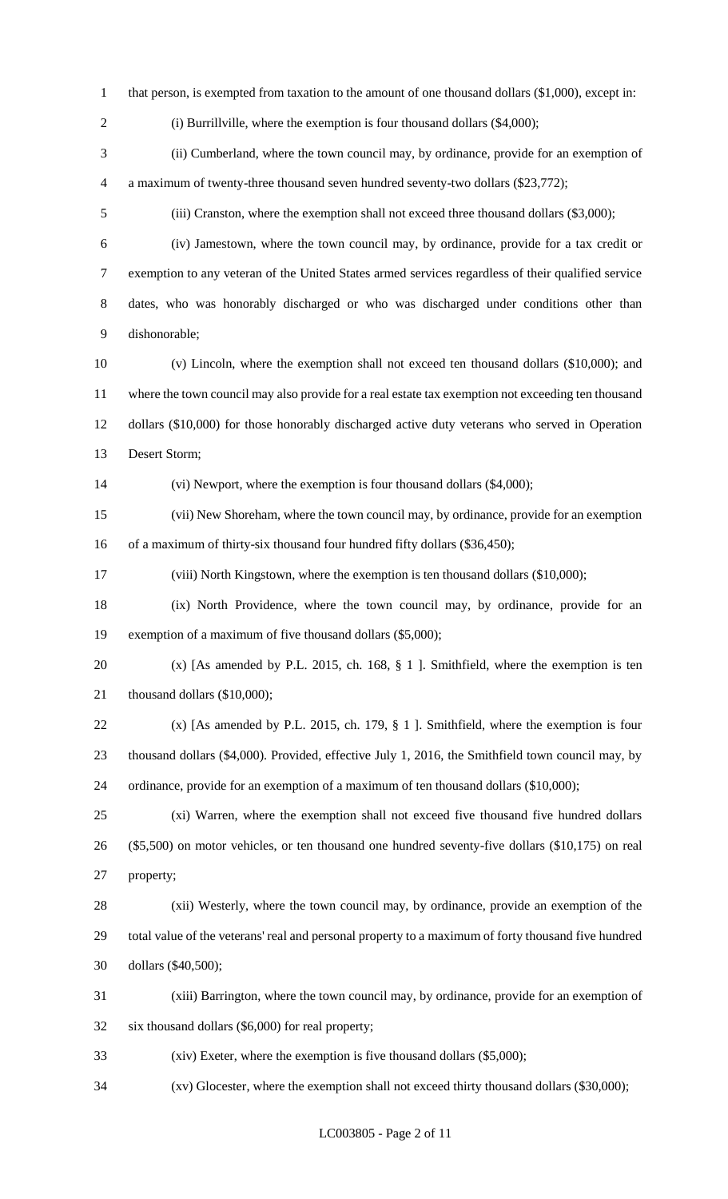- 1 that person, is exempted from taxation to the amount of one thousand dollars (\$1,000), except in:
- 

2 (i) Burrillville, where the exemption is four thousand dollars (\$4,000);

 (ii) Cumberland, where the town council may, by ordinance, provide for an exemption of a maximum of twenty-three thousand seven hundred seventy-two dollars (\$23,772);

(iii) Cranston, where the exemption shall not exceed three thousand dollars (\$3,000);

- (iv) Jamestown, where the town council may, by ordinance, provide for a tax credit or exemption to any veteran of the United States armed services regardless of their qualified service dates, who was honorably discharged or who was discharged under conditions other than dishonorable;
- (v) Lincoln, where the exemption shall not exceed ten thousand dollars (\$10,000); and where the town council may also provide for a real estate tax exemption not exceeding ten thousand dollars (\$10,000) for those honorably discharged active duty veterans who served in Operation Desert Storm;

(vi) Newport, where the exemption is four thousand dollars (\$4,000);

 (vii) New Shoreham, where the town council may, by ordinance, provide for an exemption 16 of a maximum of thirty-six thousand four hundred fifty dollars (\$36,450);

(viii) North Kingstown, where the exemption is ten thousand dollars (\$10,000);

 (ix) North Providence, where the town council may, by ordinance, provide for an exemption of a maximum of five thousand dollars (\$5,000);

 (x) [As amended by P.L. 2015, ch. 168, § 1 ]. Smithfield, where the exemption is ten 21 thousand dollars (\$10,000);

 (x) [As amended by P.L. 2015, ch. 179, § 1 ]. Smithfield, where the exemption is four thousand dollars (\$4,000). Provided, effective July 1, 2016, the Smithfield town council may, by ordinance, provide for an exemption of a maximum of ten thousand dollars (\$10,000);

 (xi) Warren, where the exemption shall not exceed five thousand five hundred dollars (\$5,500) on motor vehicles, or ten thousand one hundred seventy-five dollars (\$10,175) on real property;

 (xii) Westerly, where the town council may, by ordinance, provide an exemption of the total value of the veterans' real and personal property to a maximum of forty thousand five hundred dollars (\$40,500);

 (xiii) Barrington, where the town council may, by ordinance, provide for an exemption of six thousand dollars (\$6,000) for real property;

(xiv) Exeter, where the exemption is five thousand dollars (\$5,000);

(xv) Glocester, where the exemption shall not exceed thirty thousand dollars (\$30,000);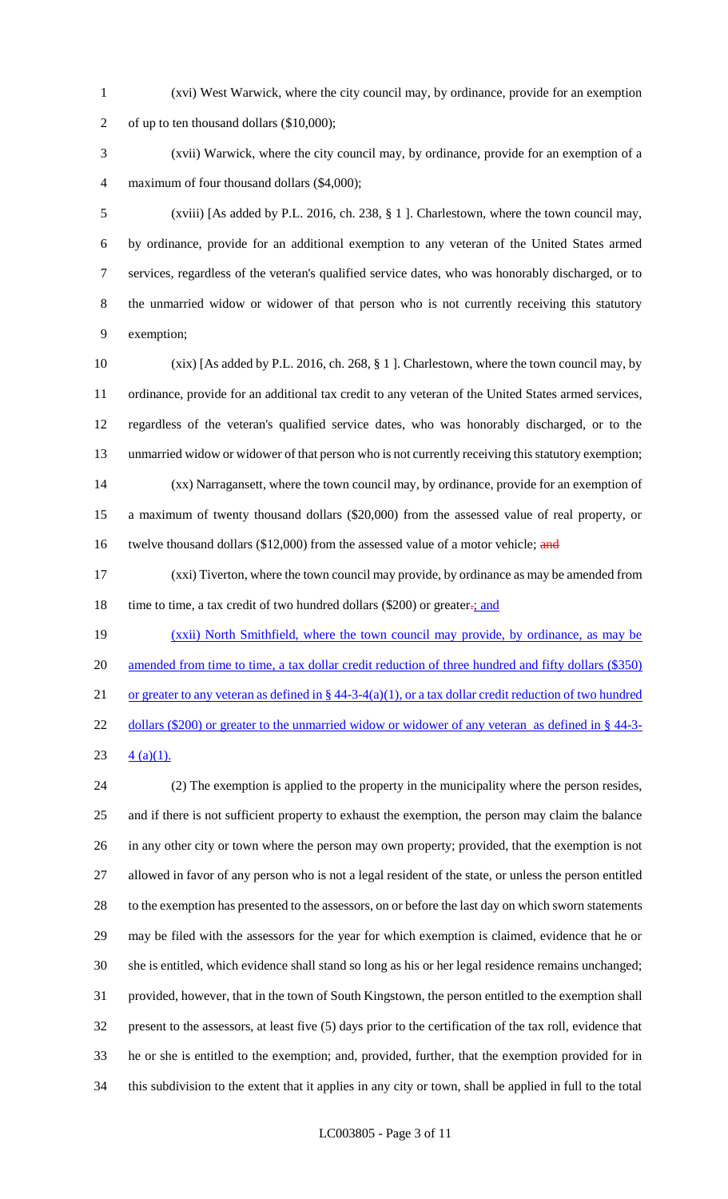- (xvi) West Warwick, where the city council may, by ordinance, provide for an exemption of up to ten thousand dollars (\$10,000);
- (xvii) Warwick, where the city council may, by ordinance, provide for an exemption of a maximum of four thousand dollars (\$4,000);

 (xviii) [As added by P.L. 2016, ch. 238, § 1 ]. Charlestown, where the town council may, by ordinance, provide for an additional exemption to any veteran of the United States armed services, regardless of the veteran's qualified service dates, who was honorably discharged, or to the unmarried widow or widower of that person who is not currently receiving this statutory exemption;

 (xix) [As added by P.L. 2016, ch. 268, § 1 ]. Charlestown, where the town council may, by ordinance, provide for an additional tax credit to any veteran of the United States armed services, regardless of the veteran's qualified service dates, who was honorably discharged, or to the unmarried widow or widower of that person who is not currently receiving this statutory exemption; (xx) Narragansett, where the town council may, by ordinance, provide for an exemption of a maximum of twenty thousand dollars (\$20,000) from the assessed value of real property, or 16 twelve thousand dollars (\$12,000) from the assessed value of a motor vehicle; and

 (xxi) Tiverton, where the town council may provide, by ordinance as may be amended from 18 time to time, a tax credit of two hundred dollars (\$200) or greater.; and

 (xxii) North Smithfield, where the town council may provide, by ordinance, as may be 20 amended from time to time, a tax dollar credit reduction of three hundred and fifty dollars (\$350) 21 or greater to any veteran as defined in  $\S$  44-3-4(a)(1), or a tax dollar credit reduction of two hundred 22 dollars (\$200) or greater to the unmarried widow or widower of any veteran as defined in § 44-3-

23  $4 (a)(1)$ .

 (2) The exemption is applied to the property in the municipality where the person resides, and if there is not sufficient property to exhaust the exemption, the person may claim the balance in any other city or town where the person may own property; provided, that the exemption is not allowed in favor of any person who is not a legal resident of the state, or unless the person entitled to the exemption has presented to the assessors, on or before the last day on which sworn statements may be filed with the assessors for the year for which exemption is claimed, evidence that he or she is entitled, which evidence shall stand so long as his or her legal residence remains unchanged; provided, however, that in the town of South Kingstown, the person entitled to the exemption shall present to the assessors, at least five (5) days prior to the certification of the tax roll, evidence that he or she is entitled to the exemption; and, provided, further, that the exemption provided for in this subdivision to the extent that it applies in any city or town, shall be applied in full to the total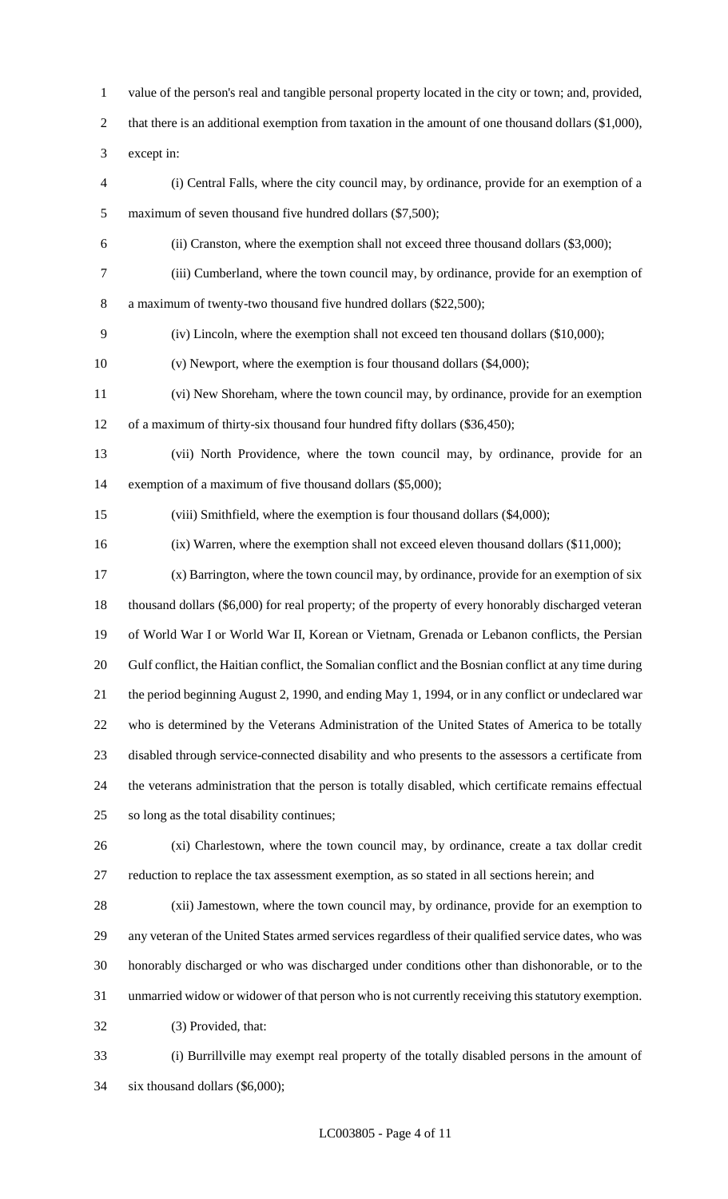value of the person's real and tangible personal property located in the city or town; and, provided,

2 that there is an additional exemption from taxation in the amount of one thousand dollars (\$1,000),

except in:

- (i) Central Falls, where the city council may, by ordinance, provide for an exemption of a maximum of seven thousand five hundred dollars (\$7,500);
- (ii) Cranston, where the exemption shall not exceed three thousand dollars (\$3,000);
- (iii) Cumberland, where the town council may, by ordinance, provide for an exemption of

a maximum of twenty-two thousand five hundred dollars (\$22,500);

- (iv) Lincoln, where the exemption shall not exceed ten thousand dollars (\$10,000);
- (v) Newport, where the exemption is four thousand dollars (\$4,000);
- (vi) New Shoreham, where the town council may, by ordinance, provide for an exemption of a maximum of thirty-six thousand four hundred fifty dollars (\$36,450);
- (vii) North Providence, where the town council may, by ordinance, provide for an exemption of a maximum of five thousand dollars (\$5,000);
- (viii) Smithfield, where the exemption is four thousand dollars (\$4,000);
- (ix) Warren, where the exemption shall not exceed eleven thousand dollars (\$11,000);
- (x) Barrington, where the town council may, by ordinance, provide for an exemption of six thousand dollars (\$6,000) for real property; of the property of every honorably discharged veteran of World War I or World War II, Korean or Vietnam, Grenada or Lebanon conflicts, the Persian Gulf conflict, the Haitian conflict, the Somalian conflict and the Bosnian conflict at any time during the period beginning August 2, 1990, and ending May 1, 1994, or in any conflict or undeclared war who is determined by the Veterans Administration of the United States of America to be totally disabled through service-connected disability and who presents to the assessors a certificate from the veterans administration that the person is totally disabled, which certificate remains effectual so long as the total disability continues;
- (xi) Charlestown, where the town council may, by ordinance, create a tax dollar credit reduction to replace the tax assessment exemption, as so stated in all sections herein; and
- (xii) Jamestown, where the town council may, by ordinance, provide for an exemption to any veteran of the United States armed services regardless of their qualified service dates, who was honorably discharged or who was discharged under conditions other than dishonorable, or to the unmarried widow or widower of that person who is not currently receiving this statutory exemption. (3) Provided, that:
- (i) Burrillville may exempt real property of the totally disabled persons in the amount of six thousand dollars (\$6,000);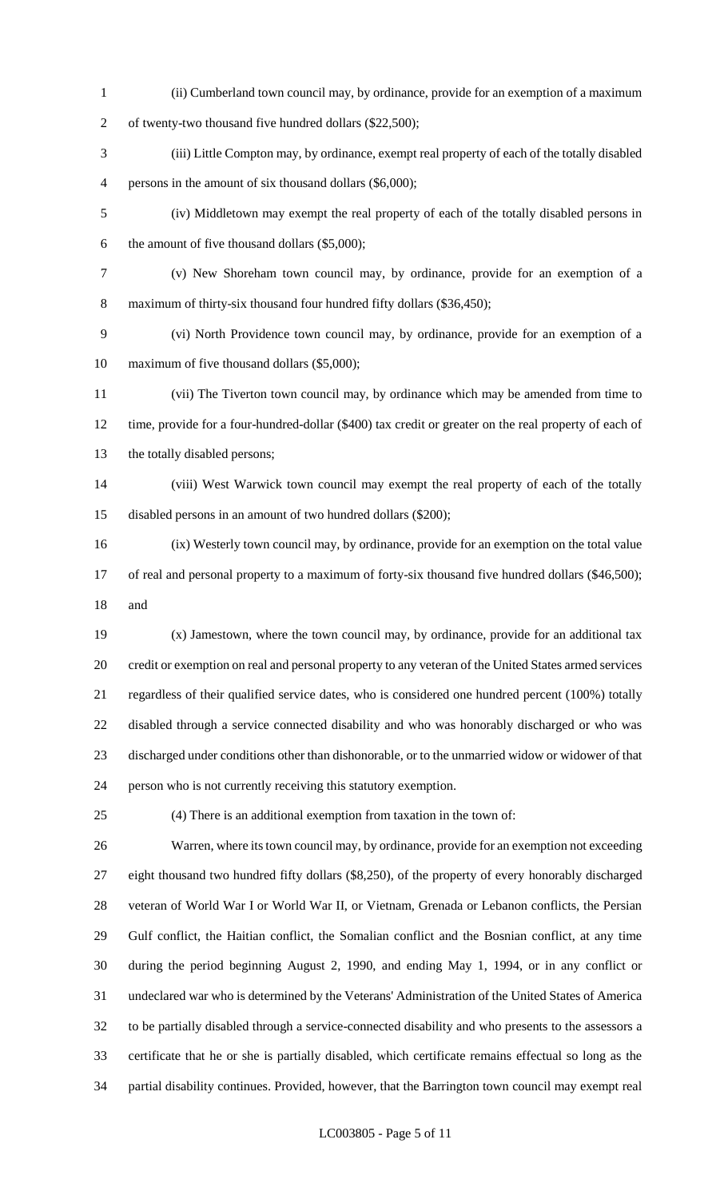(ii) Cumberland town council may, by ordinance, provide for an exemption of a maximum

of twenty-two thousand five hundred dollars (\$22,500);

- (iii) Little Compton may, by ordinance, exempt real property of each of the totally disabled persons in the amount of six thousand dollars (\$6,000);
- (iv) Middletown may exempt the real property of each of the totally disabled persons in the amount of five thousand dollars (\$5,000);
- (v) New Shoreham town council may, by ordinance, provide for an exemption of a maximum of thirty-six thousand four hundred fifty dollars (\$36,450);
- (vi) North Providence town council may, by ordinance, provide for an exemption of a maximum of five thousand dollars (\$5,000);
- (vii) The Tiverton town council may, by ordinance which may be amended from time to time, provide for a four-hundred-dollar (\$400) tax credit or greater on the real property of each of the totally disabled persons;
- (viii) West Warwick town council may exempt the real property of each of the totally disabled persons in an amount of two hundred dollars (\$200);
- (ix) Westerly town council may, by ordinance, provide for an exemption on the total value 17 of real and personal property to a maximum of forty-six thousand five hundred dollars (\$46,500); and
- (x) Jamestown, where the town council may, by ordinance, provide for an additional tax credit or exemption on real and personal property to any veteran of the United States armed services regardless of their qualified service dates, who is considered one hundred percent (100%) totally disabled through a service connected disability and who was honorably discharged or who was discharged under conditions other than dishonorable, or to the unmarried widow or widower of that person who is not currently receiving this statutory exemption.
- (4) There is an additional exemption from taxation in the town of:

 Warren, where its town council may, by ordinance, provide for an exemption not exceeding eight thousand two hundred fifty dollars (\$8,250), of the property of every honorably discharged veteran of World War I or World War II, or Vietnam, Grenada or Lebanon conflicts, the Persian Gulf conflict, the Haitian conflict, the Somalian conflict and the Bosnian conflict, at any time during the period beginning August 2, 1990, and ending May 1, 1994, or in any conflict or undeclared war who is determined by the Veterans' Administration of the United States of America to be partially disabled through a service-connected disability and who presents to the assessors a certificate that he or she is partially disabled, which certificate remains effectual so long as the partial disability continues. Provided, however, that the Barrington town council may exempt real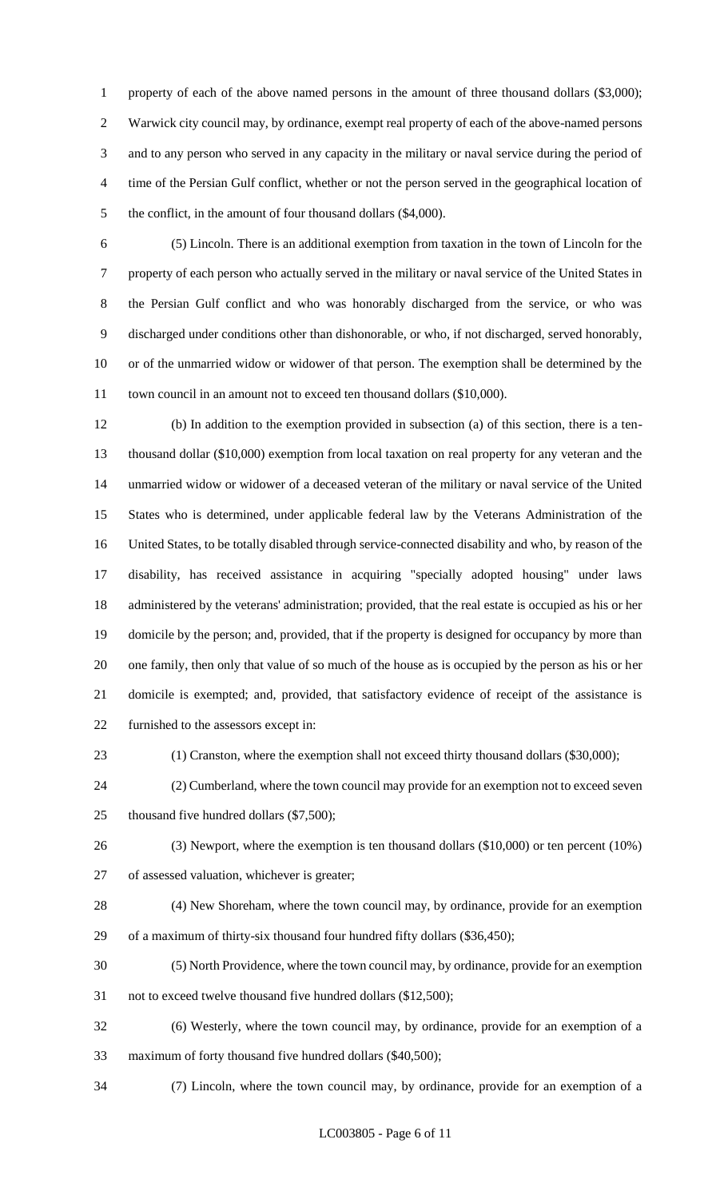1 property of each of the above named persons in the amount of three thousand dollars (\$3,000); Warwick city council may, by ordinance, exempt real property of each of the above-named persons and to any person who served in any capacity in the military or naval service during the period of time of the Persian Gulf conflict, whether or not the person served in the geographical location of 5 the conflict, in the amount of four thousand dollars (\$4,000).

 (5) Lincoln. There is an additional exemption from taxation in the town of Lincoln for the property of each person who actually served in the military or naval service of the United States in the Persian Gulf conflict and who was honorably discharged from the service, or who was discharged under conditions other than dishonorable, or who, if not discharged, served honorably, or of the unmarried widow or widower of that person. The exemption shall be determined by the 11 town council in an amount not to exceed ten thousand dollars (\$10,000).

 (b) In addition to the exemption provided in subsection (a) of this section, there is a ten- thousand dollar (\$10,000) exemption from local taxation on real property for any veteran and the unmarried widow or widower of a deceased veteran of the military or naval service of the United States who is determined, under applicable federal law by the Veterans Administration of the United States, to be totally disabled through service-connected disability and who, by reason of the disability, has received assistance in acquiring "specially adopted housing" under laws administered by the veterans' administration; provided, that the real estate is occupied as his or her domicile by the person; and, provided, that if the property is designed for occupancy by more than one family, then only that value of so much of the house as is occupied by the person as his or her domicile is exempted; and, provided, that satisfactory evidence of receipt of the assistance is furnished to the assessors except in:

(1) Cranston, where the exemption shall not exceed thirty thousand dollars (\$30,000);

 (2) Cumberland, where the town council may provide for an exemption not to exceed seven 25 thousand five hundred dollars (\$7,500);

 (3) Newport, where the exemption is ten thousand dollars (\$10,000) or ten percent (10%) of assessed valuation, whichever is greater;

 (4) New Shoreham, where the town council may, by ordinance, provide for an exemption of a maximum of thirty-six thousand four hundred fifty dollars (\$36,450);

(5) North Providence, where the town council may, by ordinance, provide for an exemption

not to exceed twelve thousand five hundred dollars (\$12,500);

 (6) Westerly, where the town council may, by ordinance, provide for an exemption of a maximum of forty thousand five hundred dollars (\$40,500);

(7) Lincoln, where the town council may, by ordinance, provide for an exemption of a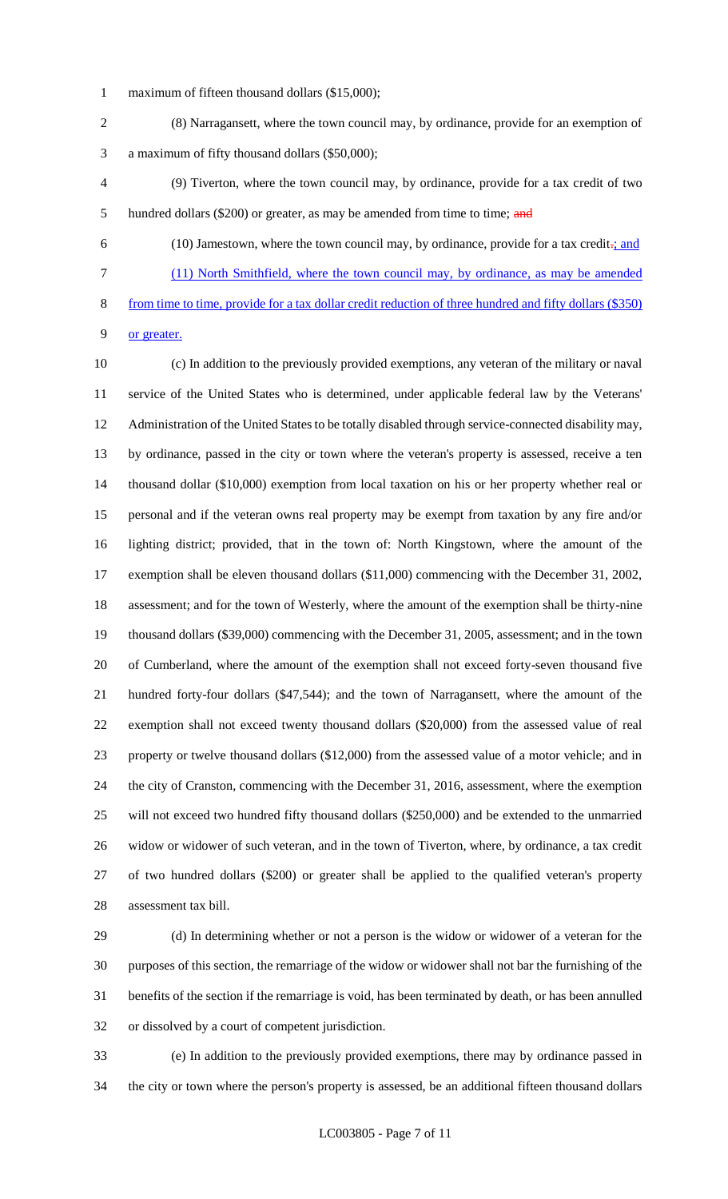- maximum of fifteen thousand dollars (\$15,000);
- (8) Narragansett, where the town council may, by ordinance, provide for an exemption of a maximum of fifty thousand dollars (\$50,000);
- (9) Tiverton, where the town council may, by ordinance, provide for a tax credit of two 5 hundred dollars (\$200) or greater, as may be amended from time to time; and
- 

 (10) Jamestown, where the town council may, by ordinance, provide for a tax credit-; and (11) North Smithfield, where the town council may, by ordinance, as may be amended from time to time, provide for a tax dollar credit reduction of three hundred and fifty dollars (\$350)

or greater.

 (c) In addition to the previously provided exemptions, any veteran of the military or naval service of the United States who is determined, under applicable federal law by the Veterans' Administration of the United States to be totally disabled through service-connected disability may, by ordinance, passed in the city or town where the veteran's property is assessed, receive a ten thousand dollar (\$10,000) exemption from local taxation on his or her property whether real or personal and if the veteran owns real property may be exempt from taxation by any fire and/or lighting district; provided, that in the town of: North Kingstown, where the amount of the exemption shall be eleven thousand dollars (\$11,000) commencing with the December 31, 2002, assessment; and for the town of Westerly, where the amount of the exemption shall be thirty-nine thousand dollars (\$39,000) commencing with the December 31, 2005, assessment; and in the town of Cumberland, where the amount of the exemption shall not exceed forty-seven thousand five hundred forty-four dollars (\$47,544); and the town of Narragansett, where the amount of the exemption shall not exceed twenty thousand dollars (\$20,000) from the assessed value of real property or twelve thousand dollars (\$12,000) from the assessed value of a motor vehicle; and in the city of Cranston, commencing with the December 31, 2016, assessment, where the exemption will not exceed two hundred fifty thousand dollars (\$250,000) and be extended to the unmarried widow or widower of such veteran, and in the town of Tiverton, where, by ordinance, a tax credit of two hundred dollars (\$200) or greater shall be applied to the qualified veteran's property assessment tax bill.

 (d) In determining whether or not a person is the widow or widower of a veteran for the purposes of this section, the remarriage of the widow or widower shall not bar the furnishing of the benefits of the section if the remarriage is void, has been terminated by death, or has been annulled or dissolved by a court of competent jurisdiction.

 (e) In addition to the previously provided exemptions, there may by ordinance passed in the city or town where the person's property is assessed, be an additional fifteen thousand dollars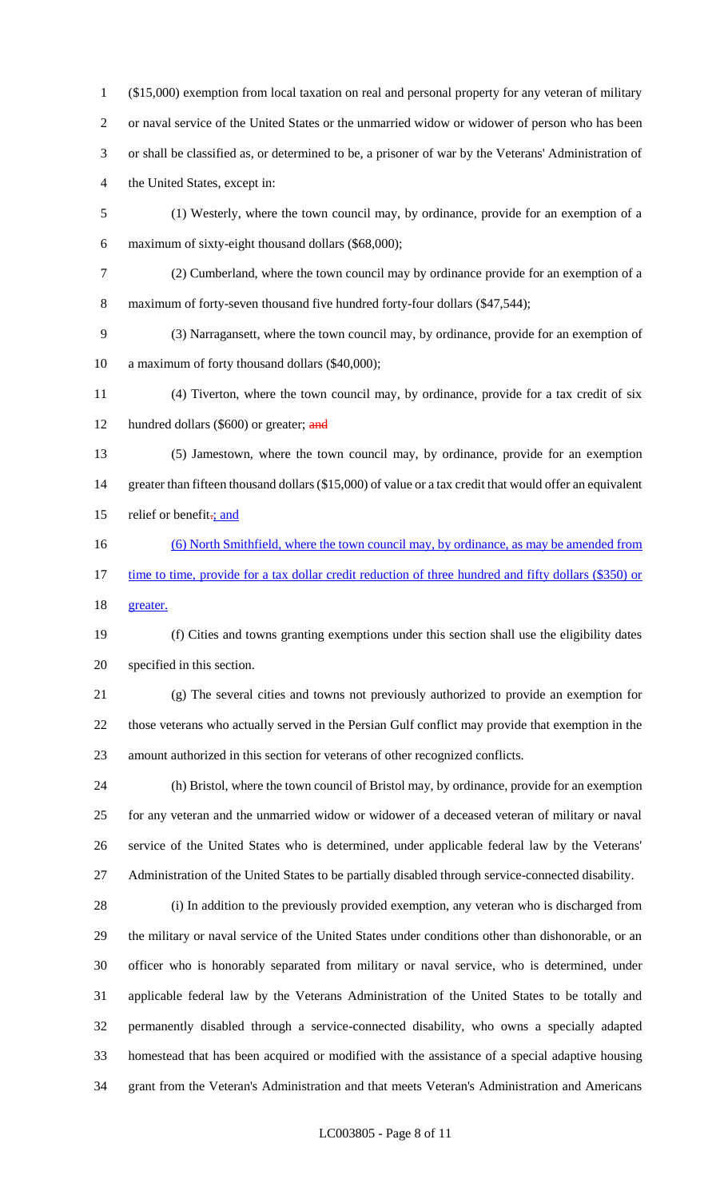(\$15,000) exemption from local taxation on real and personal property for any veteran of military or naval service of the United States or the unmarried widow or widower of person who has been or shall be classified as, or determined to be, a prisoner of war by the Veterans' Administration of the United States, except in:

- (1) Westerly, where the town council may, by ordinance, provide for an exemption of a maximum of sixty-eight thousand dollars (\$68,000);
- (2) Cumberland, where the town council may by ordinance provide for an exemption of a 8 maximum of forty-seven thousand five hundred forty-four dollars (\$47,544);

 (3) Narragansett, where the town council may, by ordinance, provide for an exemption of a maximum of forty thousand dollars (\$40,000);

 (4) Tiverton, where the town council may, by ordinance, provide for a tax credit of six 12 hundred dollars (\$600) or greater; and

- (5) Jamestown, where the town council may, by ordinance, provide for an exemption 14 greater than fifteen thousand dollars (\$15,000) of value or a tax credit that would offer an equivalent 15 relief or benefit<sub>-j</sub> and
- (6) North Smithfield, where the town council may, by ordinance, as may be amended from 17 time to time, provide for a tax dollar credit reduction of three hundred and fifty dollars (\$350) or

greater.

 (f) Cities and towns granting exemptions under this section shall use the eligibility dates specified in this section.

 (g) The several cities and towns not previously authorized to provide an exemption for those veterans who actually served in the Persian Gulf conflict may provide that exemption in the amount authorized in this section for veterans of other recognized conflicts.

 (h) Bristol, where the town council of Bristol may, by ordinance, provide for an exemption for any veteran and the unmarried widow or widower of a deceased veteran of military or naval service of the United States who is determined, under applicable federal law by the Veterans' Administration of the United States to be partially disabled through service-connected disability.

 (i) In addition to the previously provided exemption, any veteran who is discharged from the military or naval service of the United States under conditions other than dishonorable, or an officer who is honorably separated from military or naval service, who is determined, under applicable federal law by the Veterans Administration of the United States to be totally and permanently disabled through a service-connected disability, who owns a specially adapted homestead that has been acquired or modified with the assistance of a special adaptive housing grant from the Veteran's Administration and that meets Veteran's Administration and Americans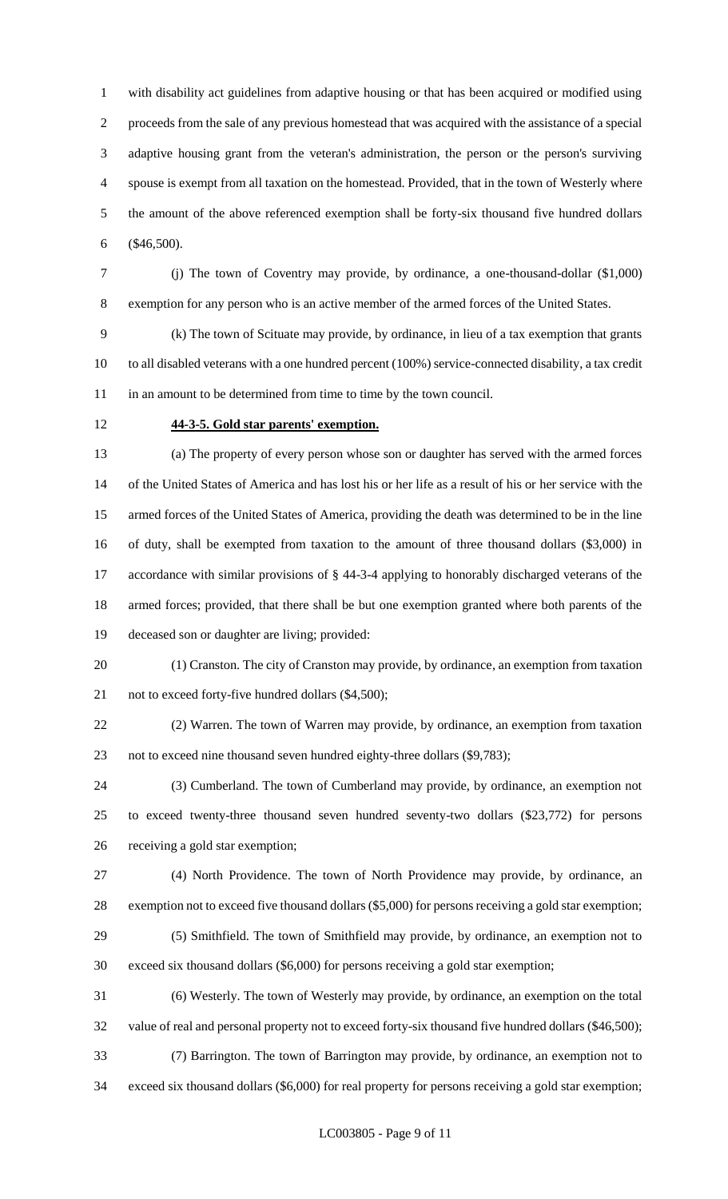with disability act guidelines from adaptive housing or that has been acquired or modified using proceeds from the sale of any previous homestead that was acquired with the assistance of a special adaptive housing grant from the veteran's administration, the person or the person's surviving spouse is exempt from all taxation on the homestead. Provided, that in the town of Westerly where the amount of the above referenced exemption shall be forty-six thousand five hundred dollars (\$46,500).

 (j) The town of Coventry may provide, by ordinance, a one-thousand-dollar (\$1,000) exemption for any person who is an active member of the armed forces of the United States.

 (k) The town of Scituate may provide, by ordinance, in lieu of a tax exemption that grants to all disabled veterans with a one hundred percent (100%) service-connected disability, a tax credit 11 in an amount to be determined from time to time by the town council.

### **44-3-5. Gold star parents' exemption.**

 (a) The property of every person whose son or daughter has served with the armed forces of the United States of America and has lost his or her life as a result of his or her service with the armed forces of the United States of America, providing the death was determined to be in the line of duty, shall be exempted from taxation to the amount of three thousand dollars (\$3,000) in accordance with similar provisions of § 44-3-4 applying to honorably discharged veterans of the armed forces; provided, that there shall be but one exemption granted where both parents of the deceased son or daughter are living; provided:

 (1) Cranston. The city of Cranston may provide, by ordinance, an exemption from taxation 21 not to exceed forty-five hundred dollars (\$4,500);

 (2) Warren. The town of Warren may provide, by ordinance, an exemption from taxation not to exceed nine thousand seven hundred eighty-three dollars (\$9,783);

 (3) Cumberland. The town of Cumberland may provide, by ordinance, an exemption not to exceed twenty-three thousand seven hundred seventy-two dollars (\$23,772) for persons receiving a gold star exemption;

 (4) North Providence. The town of North Providence may provide, by ordinance, an exemption not to exceed five thousand dollars (\$5,000) for persons receiving a gold star exemption;

 (5) Smithfield. The town of Smithfield may provide, by ordinance, an exemption not to exceed six thousand dollars (\$6,000) for persons receiving a gold star exemption;

 (6) Westerly. The town of Westerly may provide, by ordinance, an exemption on the total value of real and personal property not to exceed forty-six thousand five hundred dollars (\$46,500); (7) Barrington. The town of Barrington may provide, by ordinance, an exemption not to

exceed six thousand dollars (\$6,000) for real property for persons receiving a gold star exemption;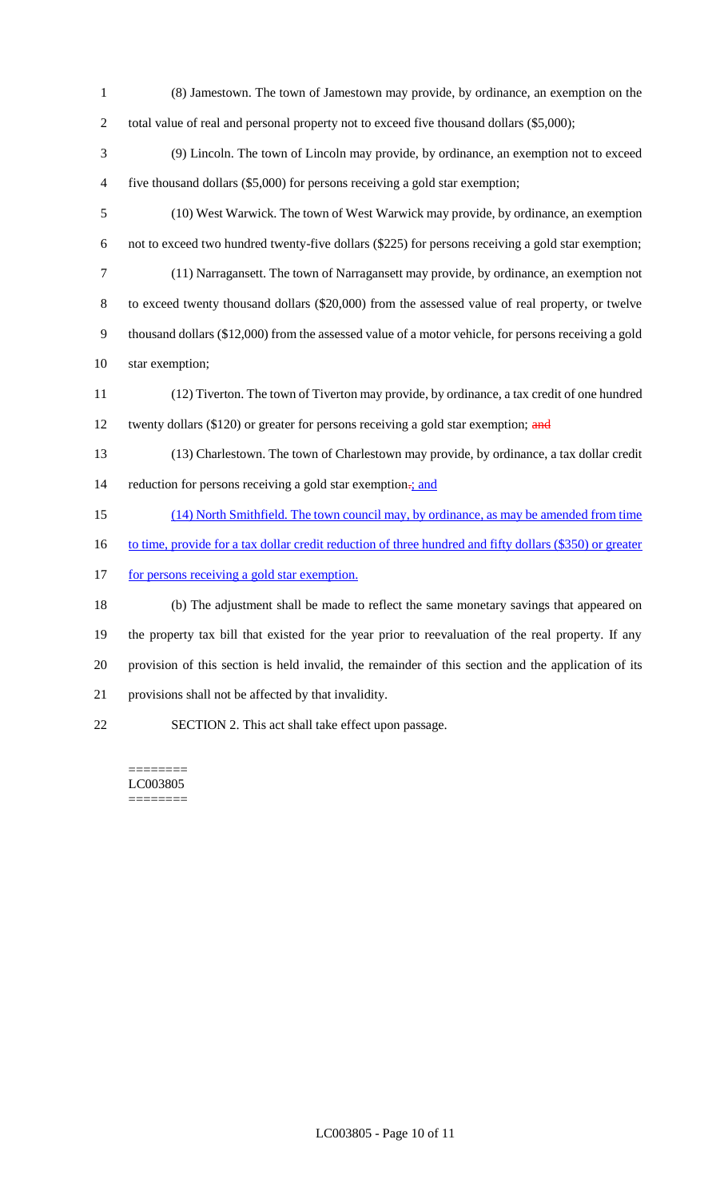- (8) Jamestown. The town of Jamestown may provide, by ordinance, an exemption on the 2 total value of real and personal property not to exceed five thousand dollars (\$5,000);
- (9) Lincoln. The town of Lincoln may provide, by ordinance, an exemption not to exceed five thousand dollars (\$5,000) for persons receiving a gold star exemption;
- (10) West Warwick. The town of West Warwick may provide, by ordinance, an exemption not to exceed two hundred twenty-five dollars (\$225) for persons receiving a gold star exemption; (11) Narragansett. The town of Narragansett may provide, by ordinance, an exemption not to exceed twenty thousand dollars (\$20,000) from the assessed value of real property, or twelve thousand dollars (\$12,000) from the assessed value of a motor vehicle, for persons receiving a gold
- star exemption;
- (12) Tiverton. The town of Tiverton may provide, by ordinance, a tax credit of one hundred 12 twenty dollars (\$120) or greater for persons receiving a gold star exemption; and
- (13) Charlestown. The town of Charlestown may provide, by ordinance, a tax dollar credit 14 reduction for persons receiving a gold star exemption-; and
- (14) North Smithfield. The town council may, by ordinance, as may be amended from time
- 16 to time, provide for a tax dollar credit reduction of three hundred and fifty dollars (\$350) or greater
- 17 for persons receiving a gold star exemption.

 (b) The adjustment shall be made to reflect the same monetary savings that appeared on the property tax bill that existed for the year prior to reevaluation of the real property. If any provision of this section is held invalid, the remainder of this section and the application of its provisions shall not be affected by that invalidity.

SECTION 2. This act shall take effect upon passage.

======== LC003805 ========